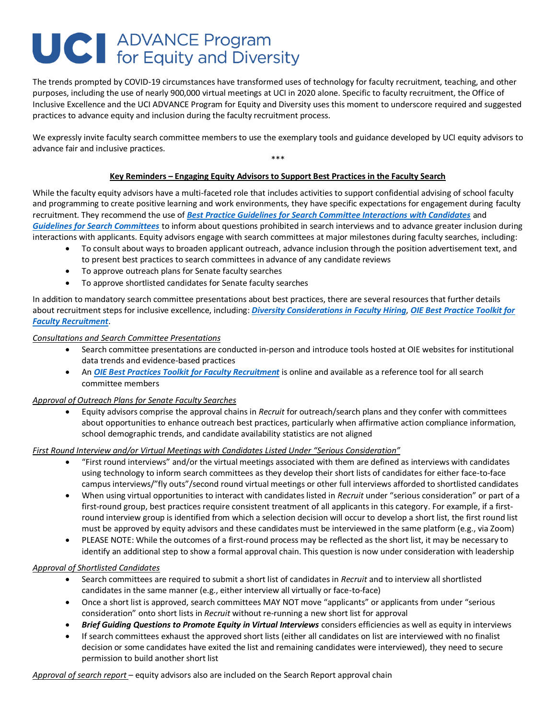# **UC** ADVANCE Program<br>for Equity and Diversity

The trends prompted by COVID-19 circumstances have transformed uses of technology for faculty recruitment, teaching, and other purposes, including the use of nearly 900,000 virtual meetings at UCI in 2020 alone. Specific to faculty recruitment, the Office of Inclusive Excellence and the UCI ADVANCE Program for Equity and Diversity uses this moment to underscore required and suggested practices to advance equity and inclusion during the faculty recruitment process.

We expressly invite faculty search committee members to use the exemplary tools and guidance developed by UCI equity advisors to advance fair and inclusive practices. \*\*\*

# **Key Reminders – Engaging Equity Advisors to Support Best Practices in the Faculty Search**

While the faculty equity advisors have a multi-faceted role that includes activities to support confidential advising of school faculty and programming to create positive learning and work environments, they have specific expectations for engagement during faculty recruitment. They recommend the use of *[Best Practice Guidelines for Search Committee Interactions with Candidates](https://inclusion.uci.edu/recruitment-resources/)* and *[Guidelines for Search Committees](https://ap.uci.edu/faculty/guidance/ieactivities/)* to inform about questions prohibited in search interviews and to advance greater inclusion during interactions with applicants. Equity advisors engage with search committees at major milestones during faculty searches, including:

- To consult about ways to broaden applicant outreach, advance inclusion through the position advertisement text, and to present best practices to search committees in advance of any candidate reviews
- To approve outreach plans for Senate faculty searches
- To approve shortlisted candidates for Senate faculty searches

In addition to mandatory search committee presentations about best practices, there are several resources that further details about recruitment steps for inclusive excellence, including: *[Diversity Considerations in](https://inclusion.uci.edu/wp-content/uploads/2020/07/Diversity-Considerations-in-Faculty-Hiring-PPT-formatted.pdf) Faculty Hiring*, *[OIE Best Practice Toolkit for](https://inclusion.uci.edu/recruitment-resources/)  [Faculty Recruitment](https://inclusion.uci.edu/recruitment-resources/)*.

# *Consultations and Search Committee Presentations*

- Search committee presentations are conducted in-person and introduce tools hosted at OIE websites for institutional data trends and evidence-based practices
- An *[OIE Best Practices Toolkit for Faculty Recruitment](https://inclusion.uci.edu/recruitment-resources/)* is online and available as a reference tool for all search committee members

# *Approval of Outreach Plans for Senate Faculty Searches*

• Equity advisors comprise the approval chains in *Recruit* for outreach/search plans and they confer with committees about opportunities to enhance outreach best practices, particularly when affirmative action compliance information, school demographic trends, and candidate availability statistics are not aligned

# *First Round Interview and/or Virtual Meetings with Candidates Listed Under "Serious Consideration"*

- "First round interviews" and/or the virtual meetings associated with them are defined as interviews with candidates using technology to inform search committees as they develop their short lists of candidates for either face-to-face campus interviews/"fly outs"/second round virtual meetings or other full interviews afforded to shortlisted candidates
- When using virtual opportunities to interact with candidates listed in *Recruit* under "serious consideration" or part of a first-round group, best practices require consistent treatment of all applicants in this category. For example, if a firstround interview group is identified from which a selection decision will occur to develop a short list, the first round list must be approved by equity advisors and these candidates must be interviewed in the same platform (e.g., via Zoom)
- PLEASE NOTE: While the outcomes of a first-round process may be reflected as the short list, it may be necessary to identify an additional step to show a formal approval chain. This question is now under consideration with leadership

# *Approval of Shortlisted Candidates*

- Search committees are required to submit a short list of candidates in *Recruit* and to interview all shortlisted candidates in the same manner (e.g., either interview all virtually or face-to-face)
- Once a short list is approved, search committees MAY NOT move "applicants" or applicants from under "serious consideration" onto short lists in *Recruit* without re-running a new short list for approval
- *Brief Guiding Questions to Promote Equity in Virtual Interviews* considers efficiencies as well as equity in interviews
- If search committees exhaust the approved short lists (either all candidates on list are interviewed with no finalist decision or some candidates have exited the list and remaining candidates were interviewed), they need to secure permission to build another short list

*Approval of search report* – equity advisors also are included on the Search Report approval chain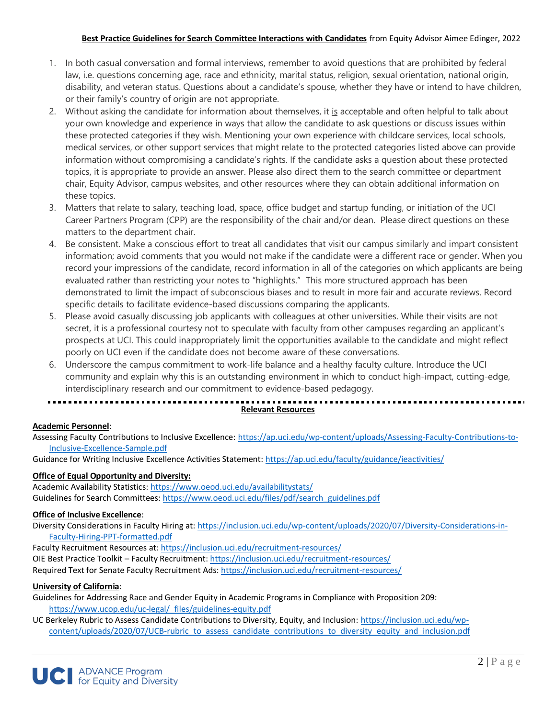# **Best Practice Guidelines for Search Committee Interactions with Candidates** from Equity Advisor Aimee Edinger, 2022

- 1. In both casual conversation and formal interviews, remember to avoid questions that are prohibited by federal law, i.e. questions concerning age, race and ethnicity, marital status, religion, sexual orientation, national origin, disability, and veteran status. Questions about a candidate's spouse, whether they have or intend to have children, or their family's country of origin are not appropriate.
- 2. Without asking the candidate for information about themselves, it is acceptable and often helpful to talk about your own knowledge and experience in ways that allow the candidate to ask questions or discuss issues within these protected categories if they wish. Mentioning your own experience with childcare services, local schools, medical services, or other support services that might relate to the protected categories listed above can provide information without compromising a candidate's rights. If the candidate asks a question about these protected topics, it is appropriate to provide an answer. Please also direct them to the search committee or department chair, Equity Advisor, campus websites, and other resources where they can obtain additional information on these topics.
- 3. Matters that relate to salary, teaching load, space, office budget and startup funding, or initiation of the UCI Career Partners Program (CPP) are the responsibility of the chair and/or dean. Please direct questions on these matters to the department chair.
- 4. Be consistent. Make a conscious effort to treat all candidates that visit our campus similarly and impart consistent information; avoid comments that you would not make if the candidate were a different race or gender. When you record your impressions of the candidate, record information in all of the categories on which applicants are being evaluated rather than restricting your notes to "highlights." This more structured approach has been demonstrated to limit the impact of subconscious biases and to result in more fair and accurate reviews. Record specific details to facilitate evidence-based discussions comparing the applicants.
- 5. Please avoid casually discussing job applicants with colleagues at other universities. While their visits are not secret, it is a professional courtesy not to speculate with faculty from other campuses regarding an applicant's prospects at UCI. This could inappropriately limit the opportunities available to the candidate and might reflect poorly on UCI even if the candidate does not become aware of these conversations.
- 6. Underscore the campus commitment to work-life balance and a healthy faculty culture. Introduce the UCI community and explain why this is an outstanding environment in which to conduct high-impact, cutting-edge, interdisciplinary research and our commitment to evidence-based pedagogy.

# 

# **Relevant Resources**

# **Academic Personnel**:

Assessing Faculty Contributions to Inclusive Excellence: [https://ap.uci.edu/wp-content/uploads/Assessing-Faculty-Contributions-to-](https://ap.uci.edu/wp-content/uploads/Assessing-Faculty-Contributions-to-Inclusive-Excellence-Sample.pdf)[Inclusive-Excellence-Sample.pdf](https://ap.uci.edu/wp-content/uploads/Assessing-Faculty-Contributions-to-Inclusive-Excellence-Sample.pdf)

Guidance for Writing Inclusive Excellence Activities Statement:<https://ap.uci.edu/faculty/guidance/ieactivities/>

# **Office of Equal Opportunity and Diversity:**

Academic Availability Statistics[: https://www.oeod.uci.edu/availabilitystats/](https://www.oeod.uci.edu/availabilitystats/) Guidelines for Search Committees: [https://www.oeod.uci.edu/files/pdf/search\\_guidelines.pdf](https://www.oeod.uci.edu/files/pdf/search_guidelines.pdf)

# **Office of Inclusive Excellence**:

Diversity Considerations in Faculty Hiring at[: https://inclusion.uci.edu/wp-content/uploads/2020/07/Diversity-Considerations-in-](https://inclusion.uci.edu/wp-content/uploads/2020/07/Diversity-Considerations-in-Faculty-Hiring-PPT-formatted.pdf)[Faculty-Hiring-PPT-formatted.pdf](https://inclusion.uci.edu/wp-content/uploads/2020/07/Diversity-Considerations-in-Faculty-Hiring-PPT-formatted.pdf)

Faculty Recruitment Resources at:<https://inclusion.uci.edu/recruitment-resources/> OIE Best Practice Toolkit – Faculty Recruitment[: https://inclusion.uci.edu/recruitment-resources/](https://inclusion.uci.edu/recruitment-resources/) Required Text for Senate Faculty Recruitment Ads[: https://inclusion.uci.edu/recruitment-resources/](https://inclusion.uci.edu/recruitment-resources/)

# **University of California**:

Guidelines for Addressing Race and Gender Equity in Academic Programs in Compliance with Proposition 209: [https://www.ucop.edu/uc-legal/\\_files/guidelines-equity.pdf](https://www.ucop.edu/uc-legal/_files/guidelines-equity.pdf)

UC Berkeley Rubric to Assess Candidate Contributions to Diversity, Equity, and Inclusion: [https://inclusion.uci.edu/wp](https://inclusion.uci.edu/wp-content/uploads/2020/07/UCB-rubric_to_assess_candidate_contributions_to_diversity_equity_and_inclusion.pdf)[content/uploads/2020/07/UCB-rubric\\_to\\_assess\\_candidate\\_contributions\\_to\\_diversity\\_equity\\_and\\_inclusion.pdf](https://inclusion.uci.edu/wp-content/uploads/2020/07/UCB-rubric_to_assess_candidate_contributions_to_diversity_equity_and_inclusion.pdf)